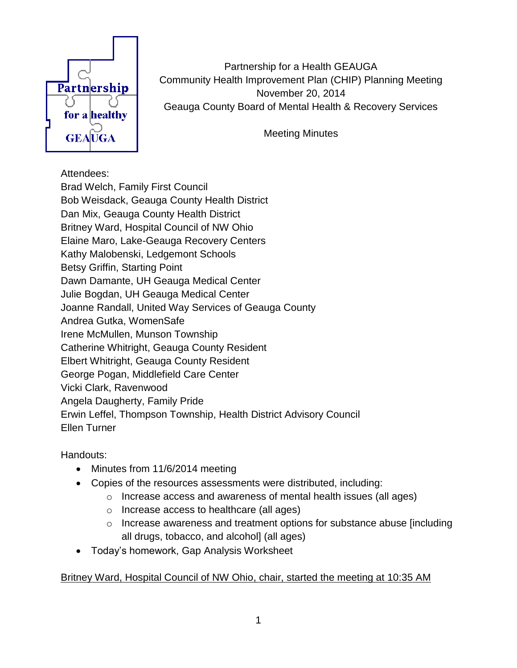

Partnership for a Health GEAUGA Community Health Improvement Plan (CHIP) Planning Meeting November 20, 2014 Geauga County Board of Mental Health & Recovery Services

Meeting Minutes

## Attendees:

Brad Welch, Family First Council Bob Weisdack, Geauga County Health District Dan Mix, Geauga County Health District Britney Ward, Hospital Council of NW Ohio Elaine Maro, Lake-Geauga Recovery Centers Kathy Malobenski, Ledgemont Schools Betsy Griffin, Starting Point Dawn Damante, UH Geauga Medical Center Julie Bogdan, UH Geauga Medical Center Joanne Randall, United Way Services of Geauga County Andrea Gutka, WomenSafe Irene McMullen, Munson Township Catherine Whitright, Geauga County Resident Elbert Whitright, Geauga County Resident George Pogan, Middlefield Care Center Vicki Clark, Ravenwood Angela Daugherty, Family Pride Erwin Leffel, Thompson Township, Health District Advisory Council Ellen Turner

Handouts:

- Minutes from 11/6/2014 meeting
- Copies of the resources assessments were distributed, including:
	- o Increase access and awareness of mental health issues (all ages)
	- o Increase access to healthcare (all ages)
	- o Increase awareness and treatment options for substance abuse [including all drugs, tobacco, and alcohol] (all ages)
- Today's homework, Gap Analysis Worksheet

## Britney Ward, Hospital Council of NW Ohio, chair, started the meeting at 10:35 AM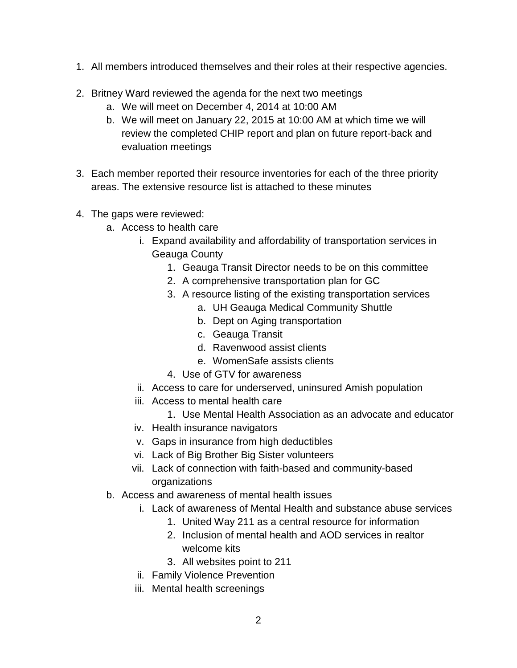- 1. All members introduced themselves and their roles at their respective agencies.
- 2. Britney Ward reviewed the agenda for the next two meetings
	- a. We will meet on December 4, 2014 at 10:00 AM
	- b. We will meet on January 22, 2015 at 10:00 AM at which time we will review the completed CHIP report and plan on future report-back and evaluation meetings
- 3. Each member reported their resource inventories for each of the three priority areas. The extensive resource list is attached to these minutes
- 4. The gaps were reviewed:
	- a. Access to health care
		- i. Expand availability and affordability of transportation services in Geauga County
			- 1. Geauga Transit Director needs to be on this committee
			- 2. A comprehensive transportation plan for GC
			- 3. A resource listing of the existing transportation services
				- a. UH Geauga Medical Community Shuttle
				- b. Dept on Aging transportation
				- c. Geauga Transit
				- d. Ravenwood assist clients
				- e. WomenSafe assists clients
			- 4. Use of GTV for awareness
		- ii. Access to care for underserved, uninsured Amish population
		- iii. Access to mental health care
			- 1. Use Mental Health Association as an advocate and educator
		- iv. Health insurance navigators
		- v. Gaps in insurance from high deductibles
		- vi. Lack of Big Brother Big Sister volunteers
		- vii. Lack of connection with faith-based and community-based organizations
	- b. Access and awareness of mental health issues
		- i. Lack of awareness of Mental Health and substance abuse services
			- 1. United Way 211 as a central resource for information
			- 2. Inclusion of mental health and AOD services in realtor welcome kits
			- 3. All websites point to 211
		- ii. Family Violence Prevention
		- iii. Mental health screenings